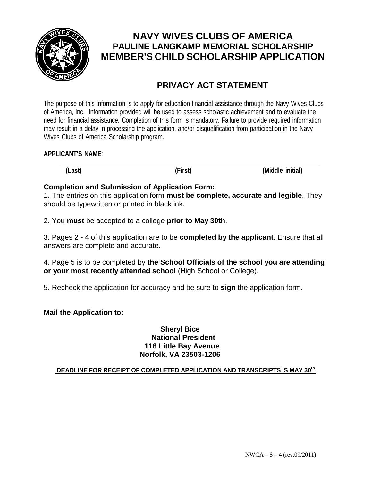

# **NAVY WIVES CLUBS OF AMERICA PAULINE LANGKAMP MEMORIAL SCHOLARSHIP MEMBER'S CHILD SCHOLARSHIP APPLICATION**

#### **PRIVACY ACT STATEMENT**

The purpose of this information is to apply for education financial assistance through the Navy Wives Clubs of America, Inc. Information provided will be used to assess scholastic achievement and to evaluate the need for financial assistance. Completion of this form is mandatory. Failure to provide required information may result in a delay in processing the application, and/or disqualification from participation in the Navy Wives Clubs of America Scholarship program.

#### **APPLICANT'S NAME**:

**(Last) (First) (Middle initial)**

#### **Completion and Submission of Application Form:**

1. The entries on this application form **must be complete, accurate and legible**. They should be typewritten or printed in black ink.

2. You **must** be accepted to a college **prior to May 30th**.

3. Pages 2 - 4 of this application are to be **completed by the applicant**. Ensure that all answers are complete and accurate.

4. Page 5 is to be completed by **the School Officials of the school you are attending or your most recently attended school** (High School or College).

5. Recheck the application for accuracy and be sure to **sign** the application form.

#### **Mail the Application to:**

#### **Sheryl Bice National President 116 Little Bay Avenue Norfolk, VA 23503-1206**

#### **DEADLINE FOR RECEIPT OF COMPLETED APPLICATION AND TRANSCRIPTS IS MAY 30th**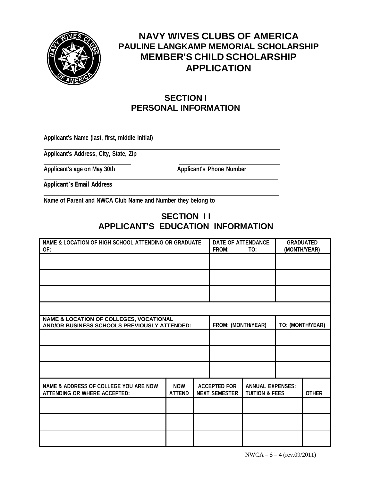

# **NAVY WIVES CLUBS OF AMERICA PAULINE LANGKAMP MEMORIAL SCHOLARSHIP MEMBER'S CHILD SCHOLARSHIP APPLICATION**

#### **SECTION I PERSONAL INFORMATION**

**Applicant's Name (last, first, middle initial)**

**Applicant's Address, City, State, Zip**

**Applicant's age on May 30th Applicant's Phone Number**

**Applicant's Email Address**

**Name of Parent and NWCA Club Name and Number they belong to**

#### **SECTION I I APPLICANT'S EDUCATION INFORMATION**

| NAME & LOCATION OF HIGH SCHOOL ATTENDING OR GRADUATE<br>OF:                                        |                             |  | <b>DATE OF ATTENDANCE</b><br>FROM:                                                                  | TO: |                  | <b>GRADUATED</b><br>(MONTH/YEAR) |
|----------------------------------------------------------------------------------------------------|-----------------------------|--|-----------------------------------------------------------------------------------------------------|-----|------------------|----------------------------------|
|                                                                                                    |                             |  |                                                                                                     |     |                  |                                  |
|                                                                                                    |                             |  |                                                                                                     |     |                  |                                  |
|                                                                                                    |                             |  |                                                                                                     |     |                  |                                  |
|                                                                                                    |                             |  |                                                                                                     |     |                  |                                  |
| <b>NAME &amp; LOCATION OF COLLEGES, VOCATIONAL</b><br>AND/OR BUSINESS SCHOOLS PREVIOUSLY ATTENDED: |                             |  | FROM: (MONTH/YEAR)                                                                                  |     | TO: (MONTH/YEAR) |                                  |
|                                                                                                    |                             |  |                                                                                                     |     |                  |                                  |
|                                                                                                    |                             |  |                                                                                                     |     |                  |                                  |
|                                                                                                    |                             |  |                                                                                                     |     |                  |                                  |
| NAME & ADDRESS OF COLLEGE YOU ARE NOW<br><b>ATTENDING OR WHERE ACCEPTED:</b>                       | <b>NOW</b><br><b>ATTEND</b> |  | <b>ACCEPTED FOR</b><br><b>ANNUAL EXPENSES:</b><br><b>NEXT SEMESTER</b><br><b>TUITION &amp; FEES</b> |     |                  | <b>OTHER</b>                     |
|                                                                                                    |                             |  |                                                                                                     |     |                  |                                  |
|                                                                                                    |                             |  |                                                                                                     |     |                  |                                  |
|                                                                                                    |                             |  |                                                                                                     |     |                  |                                  |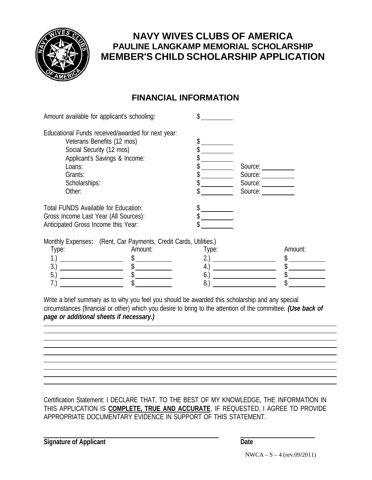

### **NAVY WIVES CLUBS OF AMERICA PAULINE LANGKAMP MEMORIAL SCHOLARSHIP MEMBER'S CHILD SCHOLARSHIP APPLICATION**

### **FINANCIAL INFORMATION**

| Amount available for applicant's schooling:                      |       |                 |         |
|------------------------------------------------------------------|-------|-----------------|---------|
| Educational Funds received/awarded for next year:                |       |                 |         |
| Veterans Benefits (12 mos)                                       |       |                 |         |
| Social Security (12 mos)                                         |       |                 |         |
| Applicant's Savings & Income:                                    |       |                 |         |
| Loans:                                                           |       | Source:         |         |
| Grants:                                                          |       | Source: $\_\_$  |         |
| Scholarships:                                                    |       | Source: $\_$    |         |
| Other:                                                           |       | Source: Source: |         |
|                                                                  |       |                 |         |
| <b>Total FUNDS Available for Education:</b>                      |       |                 |         |
| Gross Income Last Year (All Sources):                            |       |                 |         |
| Anticipated Gross Income this Year:                              |       |                 |         |
|                                                                  |       |                 |         |
| Monthly Expenses: (Rent, Car Payments, Credit Cards, Utilities.) |       |                 |         |
| Amount:<br>Type:                                                 | Type: |                 | Amount: |
|                                                                  |       |                 |         |
| 3.                                                               | (4)   |                 |         |
| 5.                                                               | 6.)   |                 |         |
| 7.)                                                              | 8.)   |                 |         |
|                                                                  |       |                 |         |

Write a brief summary as to why you feel you should be awarded this scholarship and any special circumstances (financial or other) which you desire to bring to the attention of the committee*. (Use back of page or additional sheets if necessary.)*

Certification Statement: I DECLARE THAT, TO THE BEST OF MY KNOWLEDGE, THE INFORMATION IN THIS APPLICATION IS **COMPLETE, TRUE AND ACCURATE**. IF REQUESTED, I AGREE TO PROVIDE APPROPRIATE DOCUMENTARY EVIDENCE IN SUPPORT OF THIS STATEMENT.

**Signature of Applicant** Date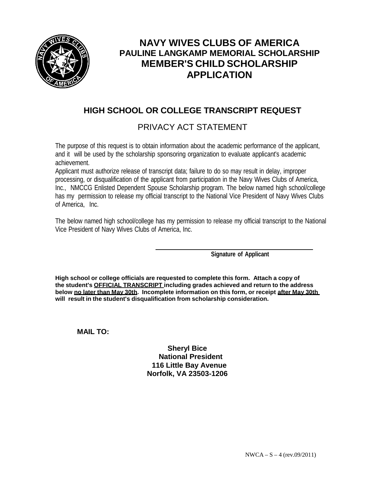

## **NAVY WIVES CLUBS OF AMERICA PAULINE LANGKAMP MEMORIAL SCHOLARSHIP MEMBER'S CHILD SCHOLARSHIP APPLICATION**

# **HIGH SCHOOL OR COLLEGE TRANSCRIPT REQUEST**

#### PRIVACY ACT STATEMENT

The purpose of this request is to obtain information about the academic performance of the applicant, and it will be used by the scholarship sponsoring organization to evaluate applicant's academic achievement.

Applicant must authorize release of transcript data; failure to do so may result in delay, improper processing, or disqualification of the applicant from participation in the Navy Wives Clubs of America, Inc., NMCCG Enlisted Dependent Spouse Scholarship program. The below named high school/college has my permission to release my official transcript to the National Vice President of Navy Wives Clubs of America, Inc.

The below named high school/college has my permission to release my official transcript to the National Vice President of Navy Wives Clubs of America, Inc.

**Signature of Applicant**

**High school or college officials are requested to complete this form. Attach a copy of the student's OFFICIAL TRANSCRIPT including grades achieved and return to the address below no later than May 30th. Incomplete information on this form, or receipt after May 30th will result in the student's disqualification from scholarship consideration.**

**MAIL TO:**

**Sheryl Bice National President 116 Little Bay Avenue Norfolk, VA 23503-1206**